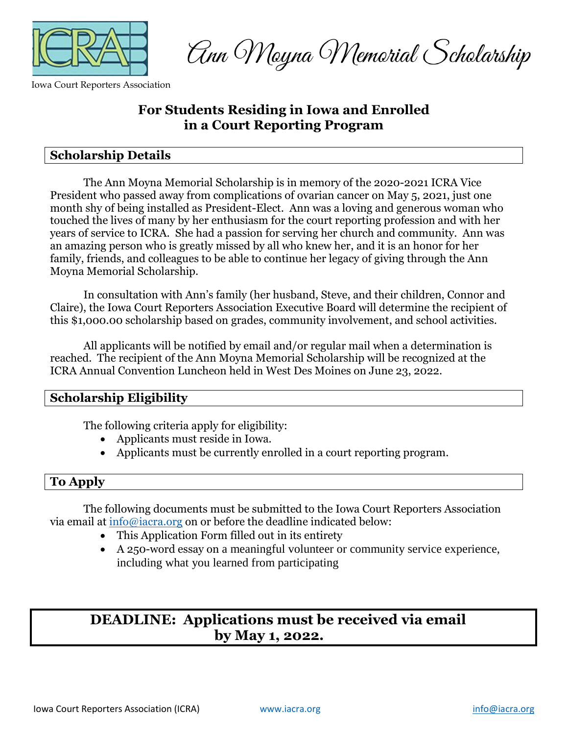

Iowa Court Reporters Association

Ann Mayna Memorial Scholarship

## **For Students Residing in Iowa and Enrolled in a Court Reporting Program**

### **Scholarship Details**

The Ann Moyna Memorial Scholarship is in memory of the 2020-2021 ICRA Vice President who passed away from complications of ovarian cancer on May 5, 2021, just one month shy of being installed as President-Elect. Ann was a loving and generous woman who touched the lives of many by her enthusiasm for the court reporting profession and with her years of service to ICRA. She had a passion for serving her church and community. Ann was an amazing person who is greatly missed by all who knew her, and it is an honor for her family, friends, and colleagues to be able to continue her legacy of giving through the Ann Moyna Memorial Scholarship.

In consultation with Ann's family (her husband, Steve, and their children, Connor and Claire), the Iowa Court Reporters Association Executive Board will determine the recipient of this \$1,000.00 scholarship based on grades, community involvement, and school activities.

All applicants will be notified by email and/or regular mail when a determination is reached. The recipient of the Ann Moyna Memorial Scholarship will be recognized at the ICRA Annual Convention Luncheon held in West Des Moines on June 23, 2022.

### **Scholarship Eligibility**

The following criteria apply for eligibility:

- Applicants must reside in Iowa.
- Applicants must be currently enrolled in a court reporting program.

### **To Apply**

The following documents must be submitted to the Iowa Court Reporters Association via email at [info@iacra.org](mailto:info@iacra.org) on or before the deadline indicated below:

- This Application Form filled out in its entirety
- A 250-word essay on a meaningful volunteer or community service experience, including what you learned from participating

# **DEADLINE: Applications must be received via email by May 1, 2022.**